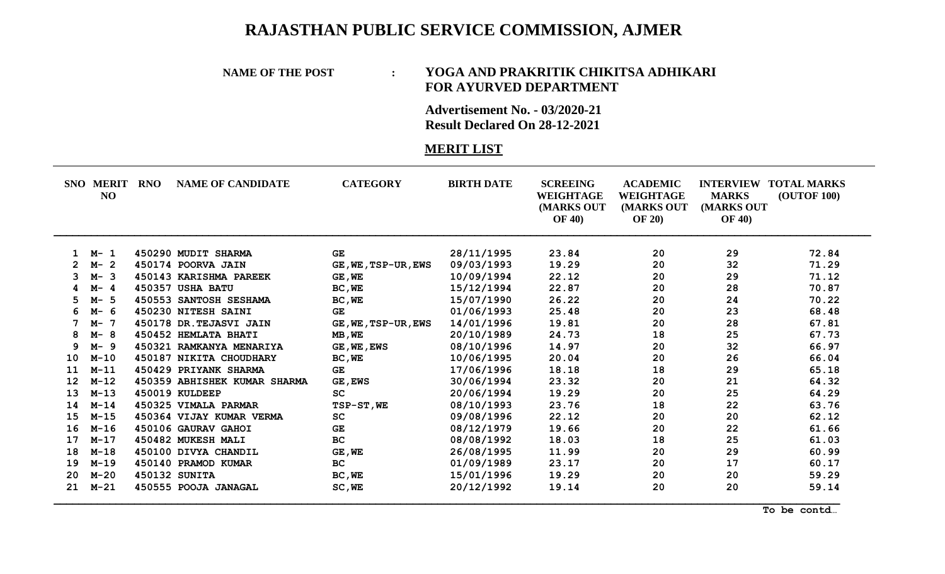# **RAJASTHAN PUBLIC SERVICE COMMISSION, AJMER**

#### **NAME OF THE POST : YOGA AND PRAKRITIK CHIKITSA ADHIKARI FOR AYURVED DEPARTMENT**

**Advertisement No. - 03/2020-21 Result Declared On 28-12-2021**

### **MERIT LIST**

|                   | <b>SNO MERIT</b><br>NO | <b>RNO</b> | <b>NAME OF CANDIDATE</b>     | <b>CATEGORY</b>     | <b>BIRTH DATE</b> | <b>SCREEING</b><br><b>WEIGHTAGE</b><br>(MARKS OUT<br><b>OF 40)</b> | <b>ACADEMIC</b><br>WEIGHTAGE<br>(MARKS OUT<br><b>OF 20</b> ) | <b>INTERVIEW</b><br><b>MARKS</b><br>(MARKS OUT<br><b>OF 40)</b> | <b>TOTAL MARKS</b><br><b>(OUTOF 100)</b> |
|-------------------|------------------------|------------|------------------------------|---------------------|-------------------|--------------------------------------------------------------------|--------------------------------------------------------------|-----------------------------------------------------------------|------------------------------------------|
|                   | M- 1                   |            | 450290 MUDIT SHARMA          | <b>GE</b>           | 28/11/1995        | 23.84                                                              | 20                                                           | 29                                                              | 72.84                                    |
|                   | $M-2$                  |            | 450174 POORVA JAIN           | GE, WE, TSP-UR, EWS | 09/03/1993        | 19.29                                                              | 20                                                           | 32                                                              | 71.29                                    |
| 3                 | $M - 3$                |            | 450143 KARISHMA PAREEK       | GE, WE              | 10/09/1994        | 22.12                                                              | 20                                                           | 29                                                              | 71.12                                    |
|                   | $M - 4$                |            | 450357 USHA BATU             | BC, WE              | 15/12/1994        | 22.87                                                              | 20                                                           | 28                                                              | 70.87                                    |
| 5.                | -5<br>$M-$             |            | 450553 SANTOSH SESHAMA       | BC, WE              | 15/07/1990        | 26.22                                                              | 20                                                           | 24                                                              | 70.22                                    |
|                   | M- 6                   |            | 450230 NITESH SAINI          | <b>GE</b>           | 01/06/1993        | 25.48                                                              | 20                                                           | 23                                                              | 68.48                                    |
|                   | $M-$<br>-7             |            | 450178 DR. TEJASVI JAIN      | GE, WE, TSP-UR, EWS | 14/01/1996        | 19.81                                                              | 20                                                           | 28                                                              | 67.81                                    |
| 8                 | $M - 8$                |            | 450452 HEMLATA BHATI         | MB, WE              | 20/10/1989        | 24.73                                                              | 18                                                           | 25                                                              | 67.73                                    |
| 9                 | $M - 9$                |            | 450321 RAMKANYA MENARIYA     | GE, WE, EWS         | 08/10/1996        | 14.97                                                              | 20                                                           | 32                                                              | 66.97                                    |
| 10                | $M-10$                 |            | 450187 NIKITA CHOUDHARY      | BC, WE              | 10/06/1995        | 20.04                                                              | 20                                                           | 26                                                              | 66.04                                    |
| 11                | $M - 11$               |            | 450429 PRIYANK SHARMA        | <b>GE</b>           | 17/06/1996        | 18.18                                                              | 18                                                           | 29                                                              | 65.18                                    |
| $12 \overline{ }$ | $M-12$                 |            | 450359 ABHISHEK KUMAR SHARMA | <b>GE, EWS</b>      | 30/06/1994        | 23.32                                                              | 20                                                           | 21                                                              | 64.32                                    |
| 13                | $M-13$                 |            | 450019 KULDEEP               | SC                  | 20/06/1994        | 19.29                                                              | 20                                                           | 25                                                              | 64.29                                    |
| 14                | $M - 14$               |            | 450325 VIMALA PARMAR         | TSP-ST, WE          | 08/10/1993        | 23.76                                                              | 18                                                           | 22                                                              | 63.76                                    |
| 15                | $M-15$                 |            | 450364 VIJAY KUMAR VERMA     | SC                  | 09/08/1996        | 22.12                                                              | 20                                                           | 20                                                              | 62.12                                    |
| 16                | $M-16$                 |            | 450106 GAURAV GAHOI          | <b>GE</b>           | 08/12/1979        | 19.66                                                              | 20                                                           | 22                                                              | 61.66                                    |
| 17                | $M - 17$               |            | 450482 MUKESH MALI           | BC                  | 08/08/1992        | 18.03                                                              | 18                                                           | 25                                                              | 61.03                                    |
| 18                | $M-18$                 |            | 450100 DIVYA CHANDIL         | GE, WE              | 26/08/1995        | 11.99                                                              | 20                                                           | 29                                                              | 60.99                                    |
| 19                | $M-19$                 |            | 450140 PRAMOD KUMAR          | <b>BC</b>           | 01/09/1989        | 23.17                                                              | 20                                                           | 17                                                              | 60.17                                    |
| 20                | $M-20$                 |            | <b>450132 SUNITA</b>         | BC, WE              | 15/01/1996        | 19.29                                                              | 20                                                           | 20                                                              | 59.29                                    |
| 21                | $M - 21$               |            | 450555 POOJA JANAGAL         | SC, WE              | 20/12/1992        | 19.14                                                              | 20                                                           | 20                                                              | 59.14                                    |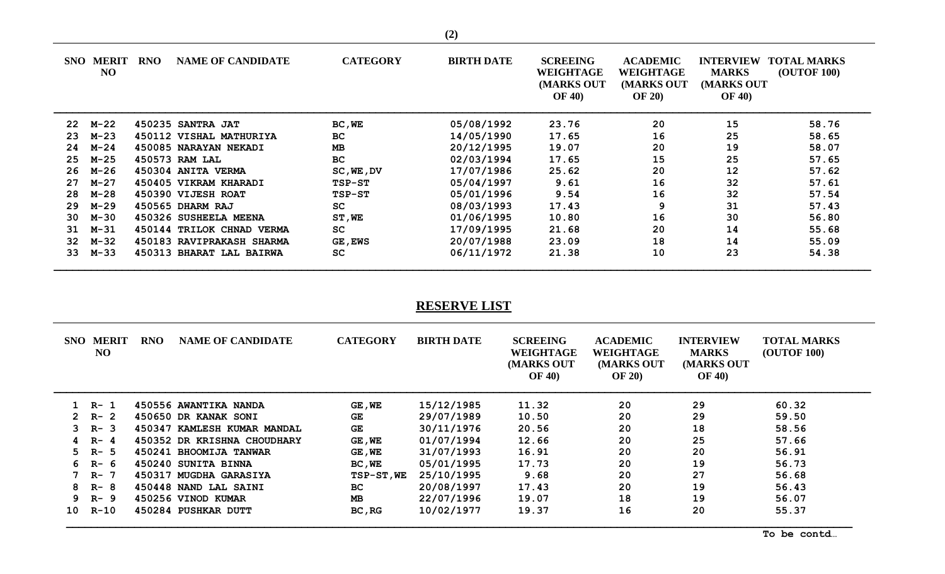| <b>SNO</b> | <b>MERIT</b><br>N <sub>O</sub> | <b>RNO</b> | <b>NAME OF CANDIDATE</b>  | <b>CATEGORY</b> | <b>BIRTH DATE</b> | <b>SCREEING</b><br><b>WEIGHTAGE</b><br>(MARKS OUT<br><b>OF 40)</b> | <b>ACADEMIC</b><br><b>WEIGHTAGE</b><br>(MARKS OUT<br><b>OF 20)</b> | <b>INTERVIEW</b><br><b>MARKS</b><br><b>(MARKS OUT</b><br><b>OF 40)</b> | <b>TOTAL MARKS</b><br><b>(OUTOF 100)</b> |
|------------|--------------------------------|------------|---------------------------|-----------------|-------------------|--------------------------------------------------------------------|--------------------------------------------------------------------|------------------------------------------------------------------------|------------------------------------------|
| 22         | м-22                           |            | 450235 SANTRA JAT         | BC, WE          | 05/08/1992        | 23.76                                                              | 20                                                                 | 15                                                                     | 58.76                                    |
| 23         | м-23                           |            | 450112 VISHAL MATHURIYA   | <b>BC</b>       | 14/05/1990        | 17.65                                                              | 16                                                                 | 25                                                                     | 58.65                                    |
| 24         | $M-24$                         |            | 450085 NARAYAN NEKADI     | <b>MB</b>       | 20/12/1995        | 19.07                                                              | 20                                                                 | 19                                                                     | 58.07                                    |
| 25         | $M-25$                         |            | 450573 RAM LAL            | <b>BC</b>       | 02/03/1994        | 17.65                                                              | 15                                                                 | 25                                                                     | 57.65                                    |
| 26         | м-26                           |            | 450304 ANITA VERMA        | SC, WE, DV      | 17/07/1986        | 25.62                                                              | 20                                                                 | 12                                                                     | 57.62                                    |
| 27         | м-27                           |            | 450405 VIKRAM KHARADI     | TSP-ST          | 05/04/1997        | 9.61                                                               | 16                                                                 | 32                                                                     | 57.61                                    |
| 28         | м-28                           |            | 450390 VIJESH ROAT        | TSP-ST          | 05/01/1996        | 9.54                                                               | 16                                                                 | 32                                                                     | 57.54                                    |
| 29         | м-29                           |            | 450565 DHARM RAJ          | <b>SC</b>       | 08/03/1993        | 17.43                                                              | 9                                                                  | 31                                                                     | 57.43                                    |
| 30         | м-30                           |            | 450326 SUSHEELA MEENA     | ST, WE          | 01/06/1995        | 10.80                                                              | 16                                                                 | 30                                                                     | 56.80                                    |
| 31         | м-31                           |            | 450144 TRILOK CHNAD VERMA | SC              | 17/09/1995        | 21.68                                                              | 20                                                                 | 14                                                                     | 55.68                                    |
| 32         | м-32                           |            | 450183 RAVIPRAKASH SHARMA | <b>GE, EWS</b>  | 20/07/1988        | 23.09                                                              | 18                                                                 | 14                                                                     | 55.09                                    |
| 33         | $M - 33$                       |            | 450313 BHARAT LAL BAIRWA  | SC              | 06/11/1972        | 21.38                                                              | 10                                                                 | 23                                                                     | 54.38                                    |

## **RESERVE LIST**

|              | <b>SNO MERIT</b><br>N <sub>O</sub> | <b>RNO</b> | <b>NAME OF CANDIDATE</b>    | <b>CATEGORY</b> | <b>BIRTH DATE</b> | <b>SCREEING</b><br>WEIGHTAGE<br>(MARKS OUT<br><b>OF 40)</b> | <b>ACADEMIC</b><br>WEIGHTAGE<br><b>MARKS OUT</b><br><b>OF 20)</b> | <b>INTERVIEW</b><br><b>MARKS</b><br>(MARKS OUT<br><b>OF 40)</b> | <b>TOTAL MARKS</b><br><b>(OUTOF 100)</b> |
|--------------|------------------------------------|------------|-----------------------------|-----------------|-------------------|-------------------------------------------------------------|-------------------------------------------------------------------|-----------------------------------------------------------------|------------------------------------------|
|              | R- 1                               |            | 450556 AWANTIKA NANDA       | $GE$ , $WE$     | 15/12/1985        | 11.32                                                       | 20                                                                | 29                                                              | 60.32                                    |
| $\mathbf{2}$ | $R-2$                              |            | 450650 DR KANAK SONI        | GE.             | 29/07/1989        | 10.50                                                       | 20                                                                | 29                                                              | 59.50                                    |
| 3            | $R-3$                              |            | 450347 KAMLESH KUMAR MANDAL | <b>GE</b>       | 30/11/1976        | 20.56                                                       | 20                                                                | 18                                                              | 58.56                                    |
|              | $R - 4$                            |            | 450352 DR KRISHNA CHOUDHARY | GE, WE          | 01/07/1994        | 12.66                                                       | 20                                                                | 25                                                              | 57.66                                    |
| 5.           | R- 5                               |            | 450241 BHOOMIJA TANWAR      | $GE$ , WE       | 31/07/1993        | 16.91                                                       | 20                                                                | 20                                                              | 56.91                                    |
| 6            | R- 6                               |            | 450240 SUNITA BINNA         | BC, WE          | 05/01/1995        | 17.73                                                       | 20                                                                | 19                                                              | 56.73                                    |
|              | R- 7                               |            | 450317 MUGDHA GARASIYA      | TSP-ST, WE      | 25/10/1995        | 9.68                                                        | 20                                                                | 27                                                              | 56.68                                    |
| 8.           | R- 8                               |            | 450448 NAND LAL SAINI       | BC.             | 20/08/1997        | 17.43                                                       | 20                                                                | 19                                                              | 56.43                                    |
|              | $9$ R- $9$                         |            | 450256 VINOD KUMAR          | <b>MB</b>       | 22/07/1996        | 19.07                                                       | 18                                                                | 19                                                              | 56.07                                    |
| 10           | $R-10$                             |            | 450284 PUSHKAR DUTT         | BC, RG          | 10/02/1977        | 19.37                                                       | 16                                                                | 20                                                              | 55.37                                    |